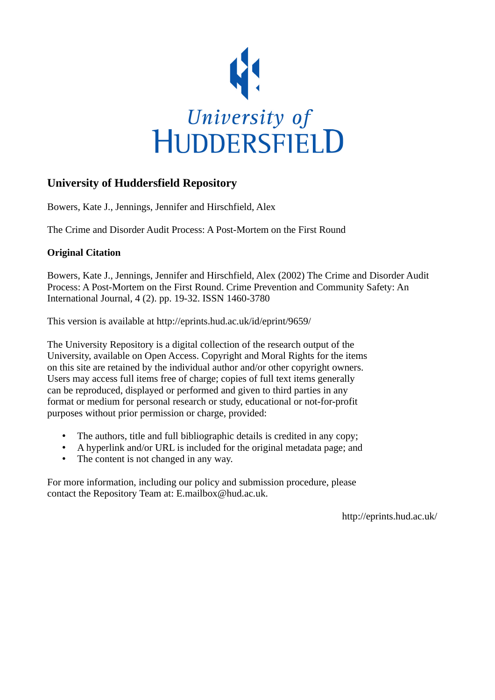

## **University of Huddersfield Repository**

Bowers, Kate J., Jennings, Jennifer and Hirschfield, Alex

The Crime and Disorder Audit Process: A Post-Mortem on the First Round

## **Original Citation**

Bowers, Kate J., Jennings, Jennifer and Hirschfield, Alex (2002) The Crime and Disorder Audit Process: A Post-Mortem on the First Round. Crime Prevention and Community Safety: An International Journal, 4 (2). pp. 19-32. ISSN 1460-3780

This version is available at http://eprints.hud.ac.uk/id/eprint/9659/

The University Repository is a digital collection of the research output of the University, available on Open Access. Copyright and Moral Rights for the items on this site are retained by the individual author and/or other copyright owners. Users may access full items free of charge; copies of full text items generally can be reproduced, displayed or performed and given to third parties in any format or medium for personal research or study, educational or not-for-profit purposes without prior permission or charge, provided:

- The authors, title and full bibliographic details is credited in any copy;
- A hyperlink and/or URL is included for the original metadata page; and
- The content is not changed in any way.

For more information, including our policy and submission procedure, please contact the Repository Team at: E.mailbox@hud.ac.uk.

http://eprints.hud.ac.uk/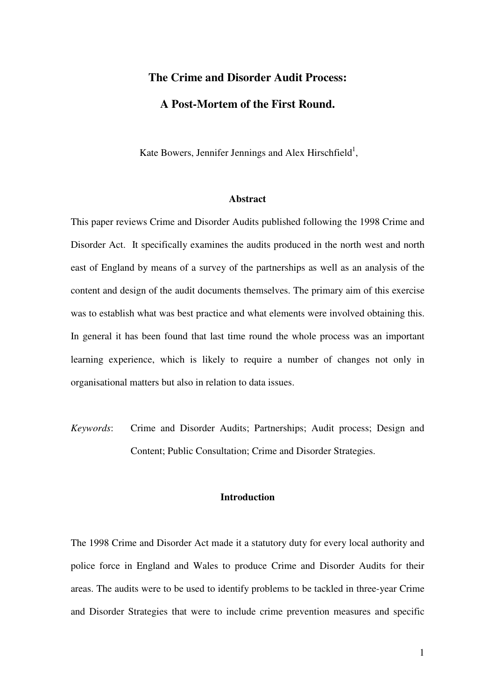# **The Crime and Disorder Audit Process: A Post-Mortem of the First Round.**

Kate Bowers, Jennifer Jennings and Alex Hirschfield<sup>1</sup>,

#### **Abstract**

This paper reviews Crime and Disorder Audits published following the 1998 Crime and Disorder Act. It specifically examines the audits produced in the north west and north east of England by means of a survey of the partnerships as well as an analysis of the content and design of the audit documents themselves. The primary aim of this exercise was to establish what was best practice and what elements were involved obtaining this. In general it has been found that last time round the whole process was an important learning experience, which is likely to require a number of changes not only in organisational matters but also in relation to data issues.

*Keywords*: Crime and Disorder Audits; Partnerships; Audit process; Design and Content; Public Consultation; Crime and Disorder Strategies.

## **Introduction**

The 1998 Crime and Disorder Act made it a statutory duty for every local authority and police force in England and Wales to produce Crime and Disorder Audits for their areas. The audits were to be used to identify problems to be tackled in three-year Crime and Disorder Strategies that were to include crime prevention measures and specific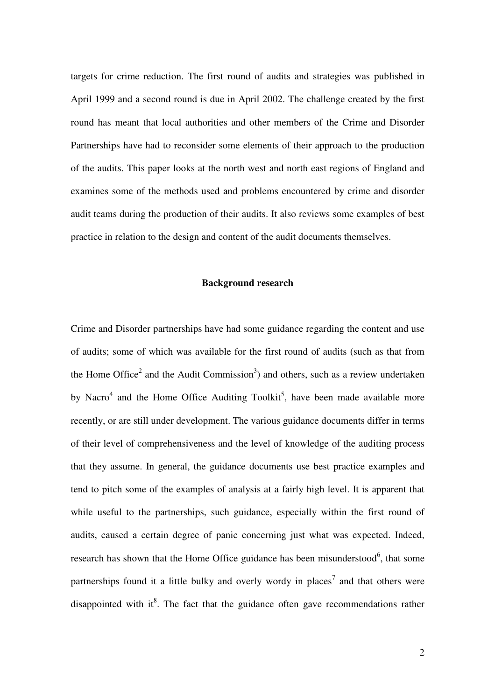targets for crime reduction. The first round of audits and strategies was published in April 1999 and a second round is due in April 2002. The challenge created by the first round has meant that local authorities and other members of the Crime and Disorder Partnerships have had to reconsider some elements of their approach to the production of the audits. This paper looks at the north west and north east regions of England and examines some of the methods used and problems encountered by crime and disorder audit teams during the production of their audits. It also reviews some examples of best practice in relation to the design and content of the audit documents themselves.

#### **Background research**

Crime and Disorder partnerships have had some guidance regarding the content and use of audits; some of which was available for the first round of audits (such as that from the Home Office<sup>2</sup> and the Audit Commission<sup>3</sup>) and others, such as a review undertaken by Nacro<sup>4</sup> and the Home Office Auditing Toolkit<sup>5</sup>, have been made available more recently, or are still under development. The various guidance documents differ in terms of their level of comprehensiveness and the level of knowledge of the auditing process that they assume. In general, the guidance documents use best practice examples and tend to pitch some of the examples of analysis at a fairly high level. It is apparent that while useful to the partnerships, such guidance, especially within the first round of audits, caused a certain degree of panic concerning just what was expected. Indeed, research has shown that the Home Office guidance has been misunderstood<sup>6</sup>, that some partnerships found it a little bulky and overly wordy in places<sup>7</sup> and that others were disappointed with it<sup>8</sup>. The fact that the guidance often gave recommendations rather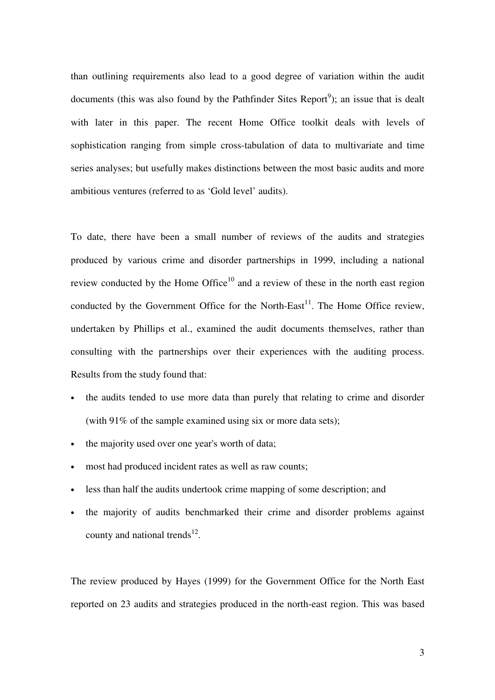than outlining requirements also lead to a good degree of variation within the audit documents (this was also found by the Pathfinder Sites Report<sup>9</sup>); an issue that is dealt with later in this paper. The recent Home Office toolkit deals with levels of sophistication ranging from simple cross-tabulation of data to multivariate and time series analyses; but usefully makes distinctions between the most basic audits and more ambitious ventures (referred to as 'Gold level' audits).

To date, there have been a small number of reviews of the audits and strategies produced by various crime and disorder partnerships in 1999, including a national review conducted by the Home Office $10$  and a review of these in the north east region conducted by the Government Office for the North-East<sup>11</sup>. The Home Office review, undertaken by Phillips et al., examined the audit documents themselves, rather than consulting with the partnerships over their experiences with the auditing process. Results from the study found that:

- the audits tended to use more data than purely that relating to crime and disorder (with 91% of the sample examined using six or more data sets);
- the majority used over one year's worth of data;
- most had produced incident rates as well as raw counts;
- less than half the audits undertook crime mapping of some description; and
- the majority of audits benchmarked their crime and disorder problems against county and national trends $^{12}$ .

The review produced by Hayes (1999) for the Government Office for the North East reported on 23 audits and strategies produced in the north-east region. This was based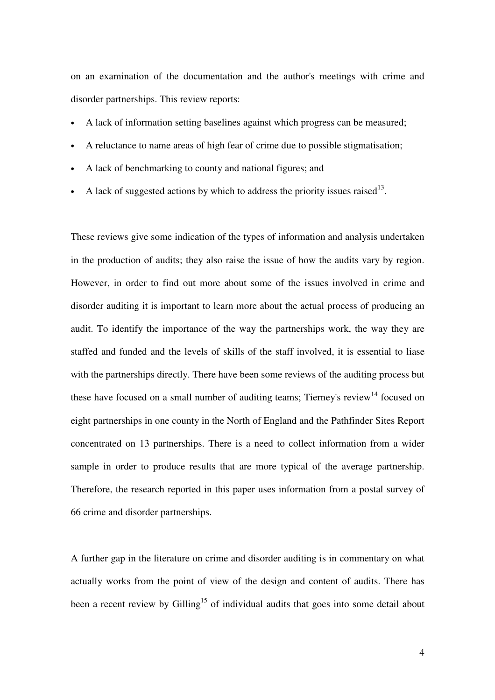on an examination of the documentation and the author's meetings with crime and disorder partnerships. This review reports:

- A lack of information setting baselines against which progress can be measured;
- A reluctance to name areas of high fear of crime due to possible stigmatisation;
- A lack of benchmarking to county and national figures; and
- A lack of suggested actions by which to address the priority issues raised<sup>13</sup>.

These reviews give some indication of the types of information and analysis undertaken in the production of audits; they also raise the issue of how the audits vary by region. However, in order to find out more about some of the issues involved in crime and disorder auditing it is important to learn more about the actual process of producing an audit. To identify the importance of the way the partnerships work, the way they are staffed and funded and the levels of skills of the staff involved, it is essential to liase with the partnerships directly. There have been some reviews of the auditing process but these have focused on a small number of auditing teams; Tierney's review<sup>14</sup> focused on eight partnerships in one county in the North of England and the Pathfinder Sites Report concentrated on 13 partnerships. There is a need to collect information from a wider sample in order to produce results that are more typical of the average partnership. Therefore, the research reported in this paper uses information from a postal survey of 66 crime and disorder partnerships.

A further gap in the literature on crime and disorder auditing is in commentary on what actually works from the point of view of the design and content of audits. There has been a recent review by Gilling<sup>15</sup> of individual audits that goes into some detail about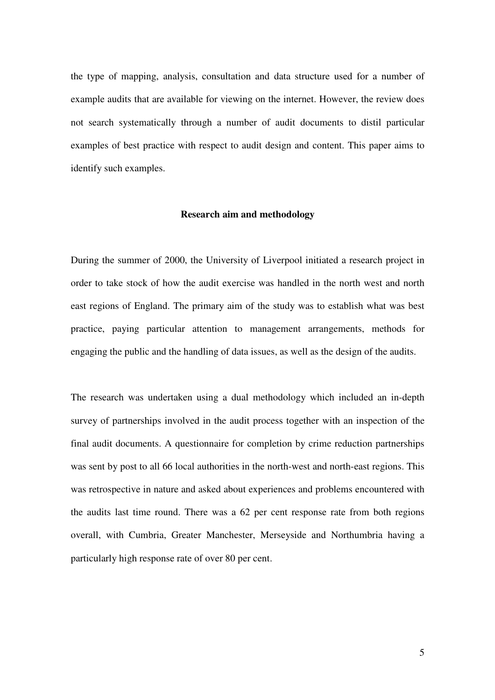the type of mapping, analysis, consultation and data structure used for a number of example audits that are available for viewing on the internet. However, the review does not search systematically through a number of audit documents to distil particular examples of best practice with respect to audit design and content. This paper aims to identify such examples.

#### **Research aim and methodology**

During the summer of 2000, the University of Liverpool initiated a research project in order to take stock of how the audit exercise was handled in the north west and north east regions of England. The primary aim of the study was to establish what was best practice, paying particular attention to management arrangements, methods for engaging the public and the handling of data issues, as well as the design of the audits.

The research was undertaken using a dual methodology which included an in-depth survey of partnerships involved in the audit process together with an inspection of the final audit documents. A questionnaire for completion by crime reduction partnerships was sent by post to all 66 local authorities in the north-west and north-east regions. This was retrospective in nature and asked about experiences and problems encountered with the audits last time round. There was a 62 per cent response rate from both regions overall, with Cumbria, Greater Manchester, Merseyside and Northumbria having a particularly high response rate of over 80 per cent.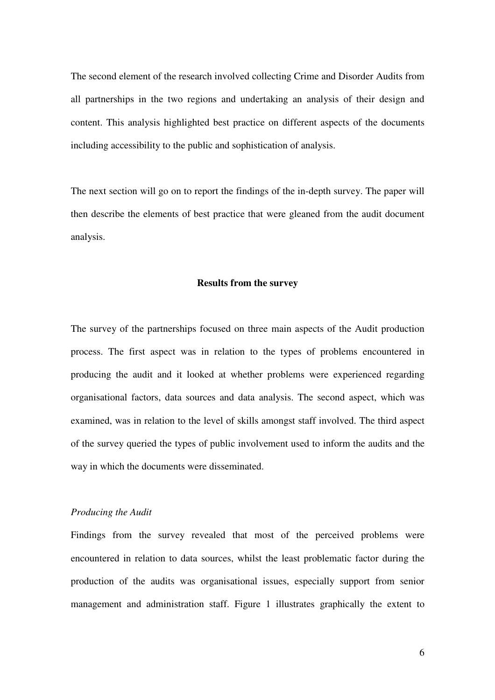The second element of the research involved collecting Crime and Disorder Audits from all partnerships in the two regions and undertaking an analysis of their design and content. This analysis highlighted best practice on different aspects of the documents including accessibility to the public and sophistication of analysis.

The next section will go on to report the findings of the in-depth survey. The paper will then describe the elements of best practice that were gleaned from the audit document analysis.

#### **Results from the survey**

The survey of the partnerships focused on three main aspects of the Audit production process. The first aspect was in relation to the types of problems encountered in producing the audit and it looked at whether problems were experienced regarding organisational factors, data sources and data analysis. The second aspect, which was examined, was in relation to the level of skills amongst staff involved. The third aspect of the survey queried the types of public involvement used to inform the audits and the way in which the documents were disseminated.

#### *Producing the Audit*

Findings from the survey revealed that most of the perceived problems were encountered in relation to data sources, whilst the least problematic factor during the production of the audits was organisational issues, especially support from senior management and administration staff. Figure 1 illustrates graphically the extent to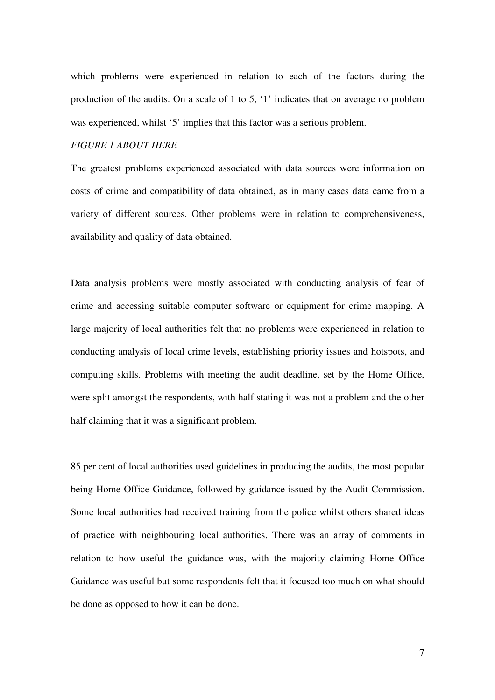which problems were experienced in relation to each of the factors during the production of the audits. On a scale of 1 to 5, '1' indicates that on average no problem was experienced, whilst '5' implies that this factor was a serious problem.

## *FIGURE 1 ABOUT HERE*

The greatest problems experienced associated with data sources were information on costs of crime and compatibility of data obtained, as in many cases data came from a variety of different sources. Other problems were in relation to comprehensiveness, availability and quality of data obtained.

Data analysis problems were mostly associated with conducting analysis of fear of crime and accessing suitable computer software or equipment for crime mapping. A large majority of local authorities felt that no problems were experienced in relation to conducting analysis of local crime levels, establishing priority issues and hotspots, and computing skills. Problems with meeting the audit deadline, set by the Home Office, were split amongst the respondents, with half stating it was not a problem and the other half claiming that it was a significant problem.

85 per cent of local authorities used guidelines in producing the audits, the most popular being Home Office Guidance, followed by guidance issued by the Audit Commission. Some local authorities had received training from the police whilst others shared ideas of practice with neighbouring local authorities. There was an array of comments in relation to how useful the guidance was, with the majority claiming Home Office Guidance was useful but some respondents felt that it focused too much on what should be done as opposed to how it can be done.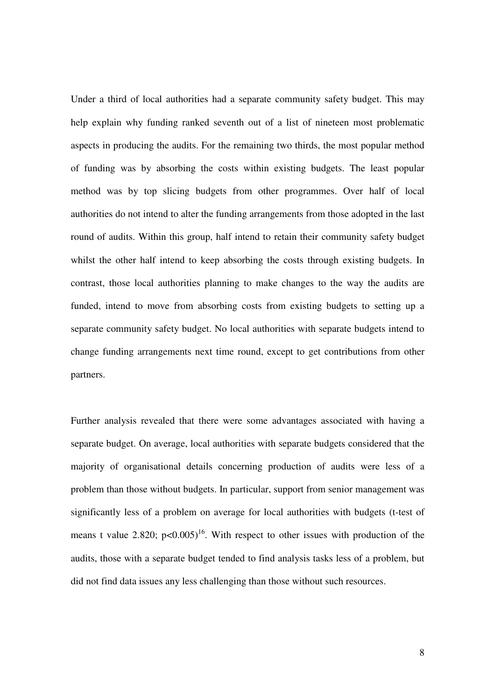Under a third of local authorities had a separate community safety budget. This may help explain why funding ranked seventh out of a list of nineteen most problematic aspects in producing the audits. For the remaining two thirds, the most popular method of funding was by absorbing the costs within existing budgets. The least popular method was by top slicing budgets from other programmes. Over half of local authorities do not intend to alter the funding arrangements from those adopted in the last round of audits. Within this group, half intend to retain their community safety budget whilst the other half intend to keep absorbing the costs through existing budgets. In contrast, those local authorities planning to make changes to the way the audits are funded, intend to move from absorbing costs from existing budgets to setting up a separate community safety budget. No local authorities with separate budgets intend to change funding arrangements next time round, except to get contributions from other partners.

Further analysis revealed that there were some advantages associated with having a separate budget. On average, local authorities with separate budgets considered that the majority of organisational details concerning production of audits were less of a problem than those without budgets. In particular, support from senior management was significantly less of a problem on average for local authorities with budgets (t-test of means t value 2.820;  $p<0.005$ <sup>16</sup>. With respect to other issues with production of the audits, those with a separate budget tended to find analysis tasks less of a problem, but did not find data issues any less challenging than those without such resources.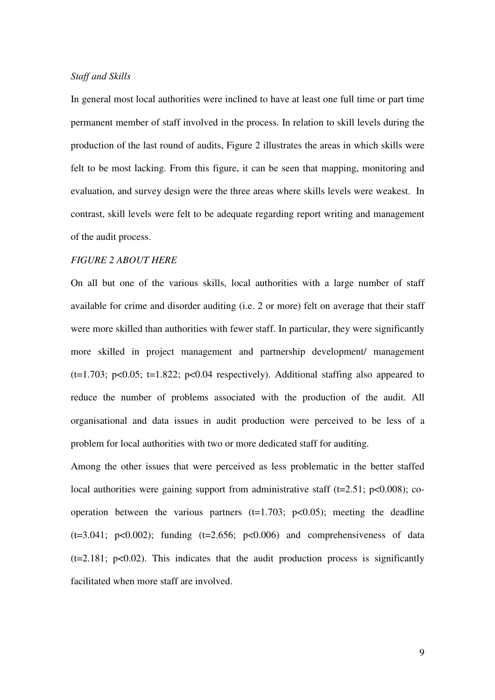#### *Staff and Skills*

In general most local authorities were inclined to have at least one full time or part time permanent member of staff involved in the process. In relation to skill levels during the production of the last round of audits, Figure 2 illustrates the areas in which skills were felt to be most lacking. From this figure, it can be seen that mapping, monitoring and evaluation, and survey design were the three areas where skills levels were weakest. In contrast, skill levels were felt to be adequate regarding report writing and management of the audit process.

## *FIGURE 2 ABOUT HERE*

On all but one of the various skills, local authorities with a large number of staff available for crime and disorder auditing (i.e. 2 or more) felt on average that their staff were more skilled than authorities with fewer staff. In particular, they were significantly more skilled in project management and partnership development/ management  $(t=1.703; p<0.05; t=1.822; p<0.04 respectively)$ . Additional staffing also appeared to reduce the number of problems associated with the production of the audit. All organisational and data issues in audit production were perceived to be less of a problem for local authorities with two or more dedicated staff for auditing.

Among the other issues that were perceived as less problematic in the better staffed local authorities were gaining support from administrative staff  $(t=2.51; p<0.008)$ ; cooperation between the various partners  $(t=1.703; p<0.05)$ ; meeting the deadline  $(t=3.041; p<0.002)$ ; funding  $(t=2.656; p<0.006)$  and comprehensiveness of data  $(t=2.181; p<0.02)$ . This indicates that the audit production process is significantly facilitated when more staff are involved.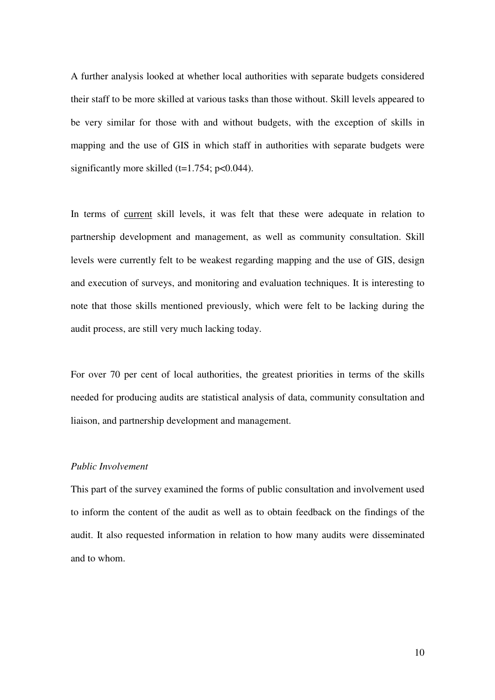A further analysis looked at whether local authorities with separate budgets considered their staff to be more skilled at various tasks than those without. Skill levels appeared to be very similar for those with and without budgets, with the exception of skills in mapping and the use of GIS in which staff in authorities with separate budgets were significantly more skilled  $(t=1.754; p<0.044)$ .

In terms of current skill levels, it was felt that these were adequate in relation to partnership development and management, as well as community consultation. Skill levels were currently felt to be weakest regarding mapping and the use of GIS, design and execution of surveys, and monitoring and evaluation techniques. It is interesting to note that those skills mentioned previously, which were felt to be lacking during the audit process, are still very much lacking today.

For over 70 per cent of local authorities, the greatest priorities in terms of the skills needed for producing audits are statistical analysis of data, community consultation and liaison, and partnership development and management.

#### *Public Involvement*

This part of the survey examined the forms of public consultation and involvement used to inform the content of the audit as well as to obtain feedback on the findings of the audit. It also requested information in relation to how many audits were disseminated and to whom.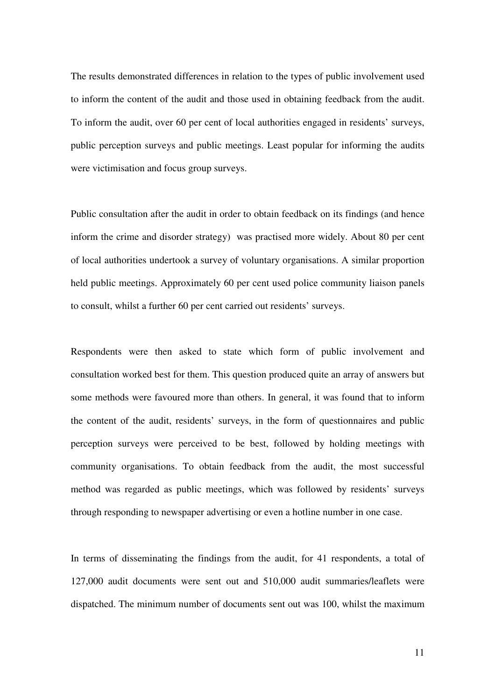The results demonstrated differences in relation to the types of public involvement used to inform the content of the audit and those used in obtaining feedback from the audit. To inform the audit, over 60 per cent of local authorities engaged in residents' surveys, public perception surveys and public meetings. Least popular for informing the audits were victimisation and focus group surveys.

Public consultation after the audit in order to obtain feedback on its findings (and hence inform the crime and disorder strategy) was practised more widely. About 80 per cent of local authorities undertook a survey of voluntary organisations. A similar proportion held public meetings. Approximately 60 per cent used police community liaison panels to consult, whilst a further 60 per cent carried out residents' surveys.

Respondents were then asked to state which form of public involvement and consultation worked best for them. This question produced quite an array of answers but some methods were favoured more than others. In general, it was found that to inform the content of the audit, residents' surveys, in the form of questionnaires and public perception surveys were perceived to be best, followed by holding meetings with community organisations. To obtain feedback from the audit, the most successful method was regarded as public meetings, which was followed by residents' surveys through responding to newspaper advertising or even a hotline number in one case.

In terms of disseminating the findings from the audit, for 41 respondents, a total of 127,000 audit documents were sent out and 510,000 audit summaries/leaflets were dispatched. The minimum number of documents sent out was 100, whilst the maximum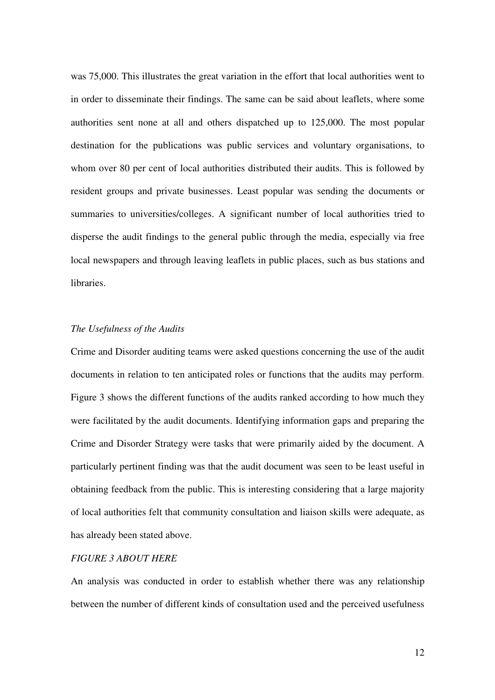was 75,000. This illustrates the great variation in the effort that local authorities went to in order to disseminate their findings. The same can be said about leaflets, where some authorities sent none at all and others dispatched up to 125,000. The most popular destination for the publications was public services and voluntary organisations, to whom over 80 per cent of local authorities distributed their audits. This is followed by resident groups and private businesses. Least popular was sending the documents or summaries to universities/colleges. A significant number of local authorities tried to disperse the audit findings to the general public through the media, especially via free local newspapers and through leaving leaflets in public places, such as bus stations and **libraries** 

#### *The Usefulness of the Audits*

Crime and Disorder auditing teams were asked questions concerning the use of the audit documents in relation to ten anticipated roles or functions that the audits may perform. Figure 3 shows the different functions of the audits ranked according to how much they were facilitated by the audit documents. Identifying information gaps and preparing the Crime and Disorder Strategy were tasks that were primarily aided by the document. A particularly pertinent finding was that the audit document was seen to be least useful in obtaining feedback from the public. This is interesting considering that a large majority of local authorities felt that community consultation and liaison skills were adequate, as has already been stated above.

#### *FIGURE 3 ABOUT HERE*

An analysis was conducted in order to establish whether there was any relationship between the number of different kinds of consultation used and the perceived usefulness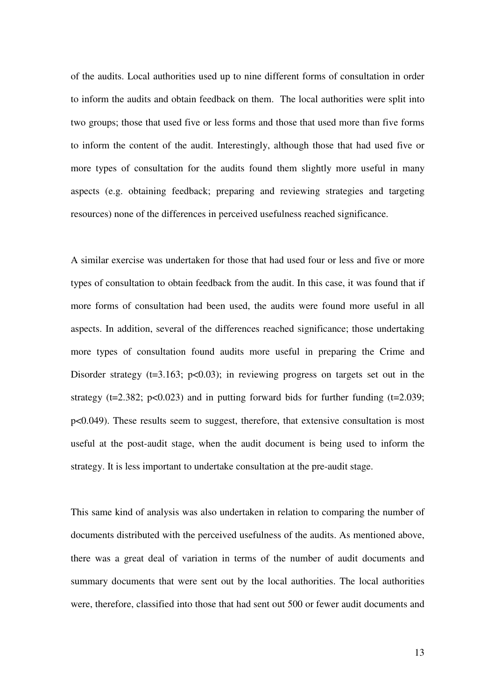of the audits. Local authorities used up to nine different forms of consultation in order to inform the audits and obtain feedback on them. The local authorities were split into two groups; those that used five or less forms and those that used more than five forms to inform the content of the audit. Interestingly, although those that had used five or more types of consultation for the audits found them slightly more useful in many aspects (e.g. obtaining feedback; preparing and reviewing strategies and targeting resources) none of the differences in perceived usefulness reached significance.

A similar exercise was undertaken for those that had used four or less and five or more types of consultation to obtain feedback from the audit. In this case, it was found that if more forms of consultation had been used, the audits were found more useful in all aspects. In addition, several of the differences reached significance; those undertaking more types of consultation found audits more useful in preparing the Crime and Disorder strategy ( $t=3.163$ ;  $p<0.03$ ); in reviewing progress on targets set out in the strategy ( $t=2.382$ ;  $p<0.023$ ) and in putting forward bids for further funding ( $t=2.039$ ; p<0.049). These results seem to suggest, therefore, that extensive consultation is most useful at the post-audit stage, when the audit document is being used to inform the strategy. It is less important to undertake consultation at the pre-audit stage.

This same kind of analysis was also undertaken in relation to comparing the number of documents distributed with the perceived usefulness of the audits. As mentioned above, there was a great deal of variation in terms of the number of audit documents and summary documents that were sent out by the local authorities. The local authorities were, therefore, classified into those that had sent out 500 or fewer audit documents and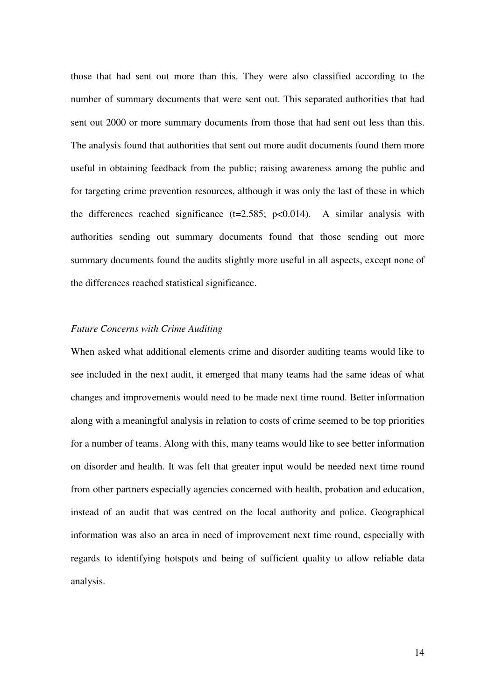those that had sent out more than this. They were also classified according to the number of summary documents that were sent out. This separated authorities that had sent out 2000 or more summary documents from those that had sent out less than this. The analysis found that authorities that sent out more audit documents found them more useful in obtaining feedback from the public; raising awareness among the public and for targeting crime prevention resources, although it was only the last of these in which the differences reached significance  $(t=2.585; p<0.014)$ . A similar analysis with authorities sending out summary documents found that those sending out more summary documents found the audits slightly more useful in all aspects, except none of the differences reached statistical significance.

#### *Future Concerns with Crime Auditing*

When asked what additional elements crime and disorder auditing teams would like to see included in the next audit, it emerged that many teams had the same ideas of what changes and improvements would need to be made next time round. Better information along with a meaningful analysis in relation to costs of crime seemed to be top priorities for a number of teams. Along with this, many teams would like to see better information on disorder and health. It was felt that greater input would be needed next time round from other partners especially agencies concerned with health, probation and education, instead of an audit that was centred on the local authority and police. Geographical information was also an area in need of improvement next time round, especially with regards to identifying hotspots and being of sufficient quality to allow reliable data analysis.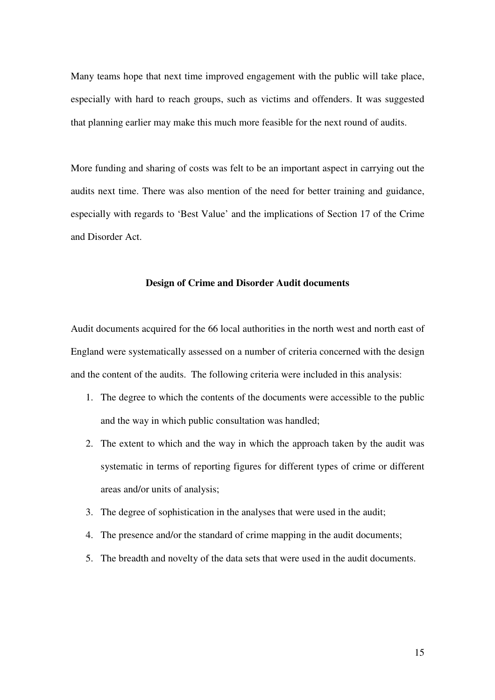Many teams hope that next time improved engagement with the public will take place, especially with hard to reach groups, such as victims and offenders. It was suggested that planning earlier may make this much more feasible for the next round of audits.

More funding and sharing of costs was felt to be an important aspect in carrying out the audits next time. There was also mention of the need for better training and guidance, especially with regards to 'Best Value' and the implications of Section 17 of the Crime and Disorder Act.

#### **Design of Crime and Disorder Audit documents**

Audit documents acquired for the 66 local authorities in the north west and north east of England were systematically assessed on a number of criteria concerned with the design and the content of the audits. The following criteria were included in this analysis:

- 1. The degree to which the contents of the documents were accessible to the public and the way in which public consultation was handled;
- 2. The extent to which and the way in which the approach taken by the audit was systematic in terms of reporting figures for different types of crime or different areas and/or units of analysis;
- 3. The degree of sophistication in the analyses that were used in the audit;
- 4. The presence and/or the standard of crime mapping in the audit documents;
- 5. The breadth and novelty of the data sets that were used in the audit documents.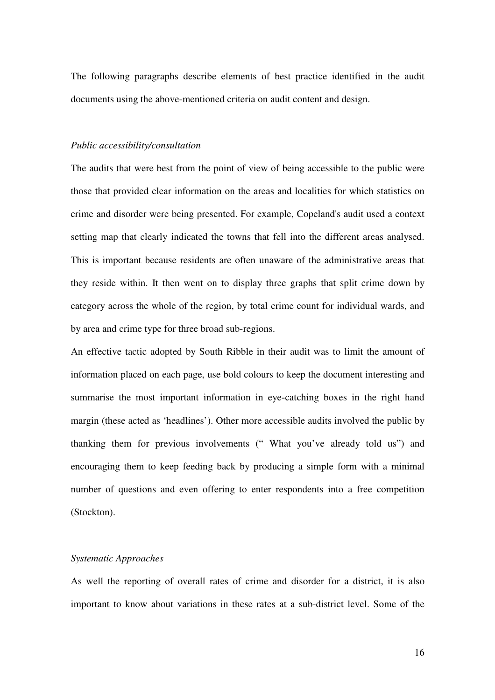The following paragraphs describe elements of best practice identified in the audit documents using the above-mentioned criteria on audit content and design.

#### *Public accessibility/consultation*

The audits that were best from the point of view of being accessible to the public were those that provided clear information on the areas and localities for which statistics on crime and disorder were being presented. For example, Copeland's audit used a context setting map that clearly indicated the towns that fell into the different areas analysed. This is important because residents are often unaware of the administrative areas that they reside within. It then went on to display three graphs that split crime down by category across the whole of the region, by total crime count for individual wards, and by area and crime type for three broad sub-regions.

An effective tactic adopted by South Ribble in their audit was to limit the amount of information placed on each page, use bold colours to keep the document interesting and summarise the most important information in eye-catching boxes in the right hand margin (these acted as 'headlines'). Other more accessible audits involved the public by thanking them for previous involvements (" What you've already told us") and encouraging them to keep feeding back by producing a simple form with a minimal number of questions and even offering to enter respondents into a free competition (Stockton).

#### *Systematic Approaches*

As well the reporting of overall rates of crime and disorder for a district, it is also important to know about variations in these rates at a sub-district level. Some of the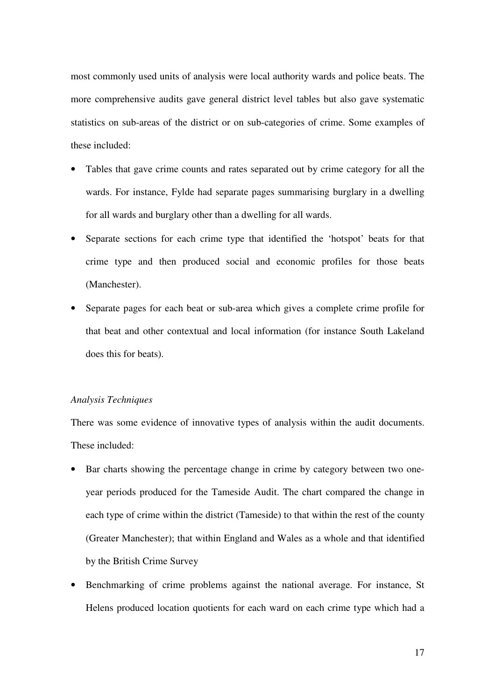most commonly used units of analysis were local authority wards and police beats. The more comprehensive audits gave general district level tables but also gave systematic statistics on sub-areas of the district or on sub-categories of crime. Some examples of these included:

- Tables that gave crime counts and rates separated out by crime category for all the wards. For instance, Fylde had separate pages summarising burglary in a dwelling for all wards and burglary other than a dwelling for all wards.
- Separate sections for each crime type that identified the 'hotspot' beats for that crime type and then produced social and economic profiles for those beats (Manchester).
- Separate pages for each beat or sub-area which gives a complete crime profile for that beat and other contextual and local information (for instance South Lakeland does this for beats).

#### *Analysis Techniques*

There was some evidence of innovative types of analysis within the audit documents. These included:

- Bar charts showing the percentage change in crime by category between two oneyear periods produced for the Tameside Audit. The chart compared the change in each type of crime within the district (Tameside) to that within the rest of the county (Greater Manchester); that within England and Wales as a whole and that identified by the British Crime Survey
- Benchmarking of crime problems against the national average. For instance, St Helens produced location quotients for each ward on each crime type which had a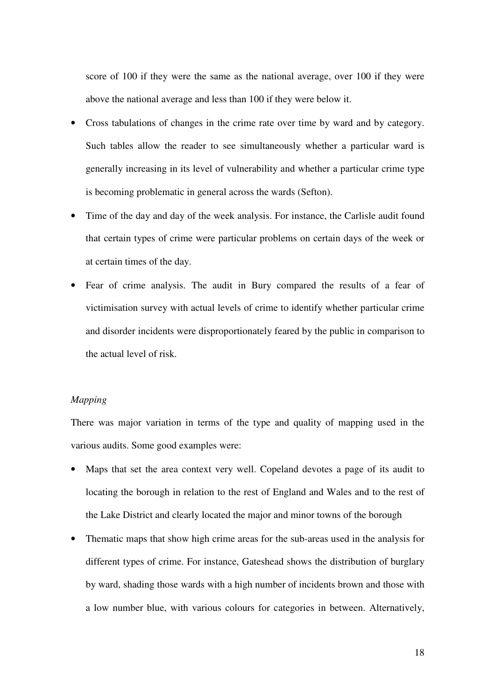score of 100 if they were the same as the national average, over 100 if they were above the national average and less than 100 if they were below it.

- Cross tabulations of changes in the crime rate over time by ward and by category. Such tables allow the reader to see simultaneously whether a particular ward is generally increasing in its level of vulnerability and whether a particular crime type is becoming problematic in general across the wards (Sefton).
- Time of the day and day of the week analysis. For instance, the Carlisle audit found that certain types of crime were particular problems on certain days of the week or at certain times of the day.
- Fear of crime analysis. The audit in Bury compared the results of a fear of victimisation survey with actual levels of crime to identify whether particular crime and disorder incidents were disproportionately feared by the public in comparison to the actual level of risk.

## *Mapping*

There was major variation in terms of the type and quality of mapping used in the various audits. Some good examples were:

- Maps that set the area context very well. Copeland devotes a page of its audit to locating the borough in relation to the rest of England and Wales and to the rest of the Lake District and clearly located the major and minor towns of the borough
- Thematic maps that show high crime areas for the sub-areas used in the analysis for different types of crime. For instance, Gateshead shows the distribution of burglary by ward, shading those wards with a high number of incidents brown and those with a low number blue, with various colours for categories in between. Alternatively,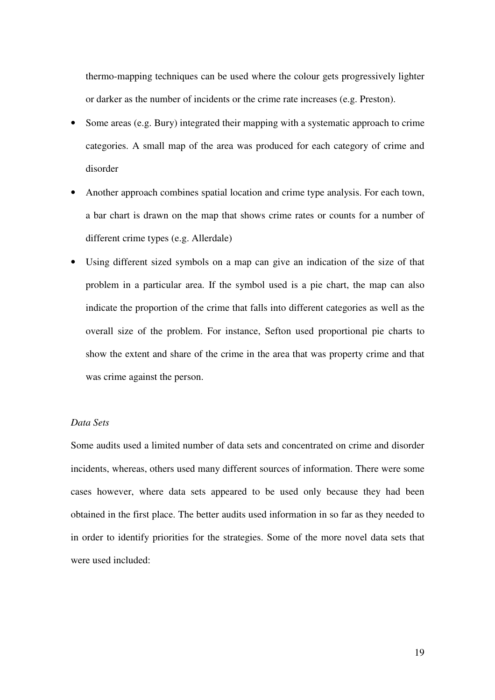thermo-mapping techniques can be used where the colour gets progressively lighter or darker as the number of incidents or the crime rate increases (e.g. Preston).

- Some areas (e.g. Bury) integrated their mapping with a systematic approach to crime categories. A small map of the area was produced for each category of crime and disorder
- Another approach combines spatial location and crime type analysis. For each town, a bar chart is drawn on the map that shows crime rates or counts for a number of different crime types (e.g. Allerdale)
- Using different sized symbols on a map can give an indication of the size of that problem in a particular area. If the symbol used is a pie chart, the map can also indicate the proportion of the crime that falls into different categories as well as the overall size of the problem. For instance, Sefton used proportional pie charts to show the extent and share of the crime in the area that was property crime and that was crime against the person.

## *Data Sets*

Some audits used a limited number of data sets and concentrated on crime and disorder incidents, whereas, others used many different sources of information. There were some cases however, where data sets appeared to be used only because they had been obtained in the first place. The better audits used information in so far as they needed to in order to identify priorities for the strategies. Some of the more novel data sets that were used included: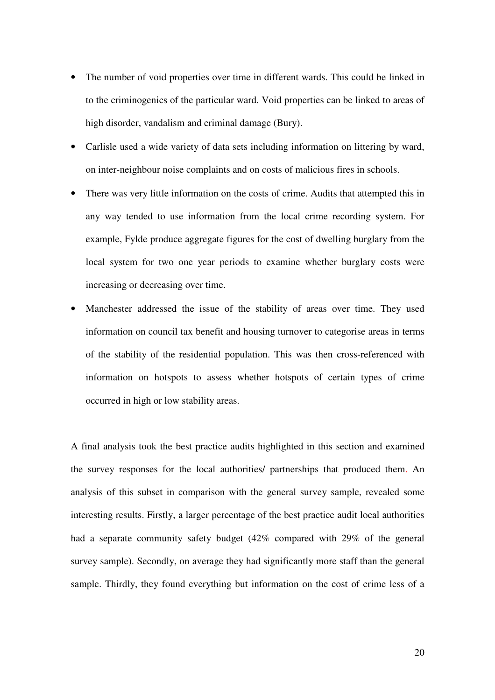- The number of void properties over time in different wards. This could be linked in to the criminogenics of the particular ward. Void properties can be linked to areas of high disorder, vandalism and criminal damage (Bury).
- Carlisle used a wide variety of data sets including information on littering by ward, on inter-neighbour noise complaints and on costs of malicious fires in schools.
- There was very little information on the costs of crime. Audits that attempted this in any way tended to use information from the local crime recording system. For example, Fylde produce aggregate figures for the cost of dwelling burglary from the local system for two one year periods to examine whether burglary costs were increasing or decreasing over time.
- Manchester addressed the issue of the stability of areas over time. They used information on council tax benefit and housing turnover to categorise areas in terms of the stability of the residential population. This was then cross-referenced with information on hotspots to assess whether hotspots of certain types of crime occurred in high or low stability areas.

A final analysis took the best practice audits highlighted in this section and examined the survey responses for the local authorities/ partnerships that produced them. An analysis of this subset in comparison with the general survey sample, revealed some interesting results. Firstly, a larger percentage of the best practice audit local authorities had a separate community safety budget (42% compared with 29% of the general survey sample). Secondly, on average they had significantly more staff than the general sample. Thirdly, they found everything but information on the cost of crime less of a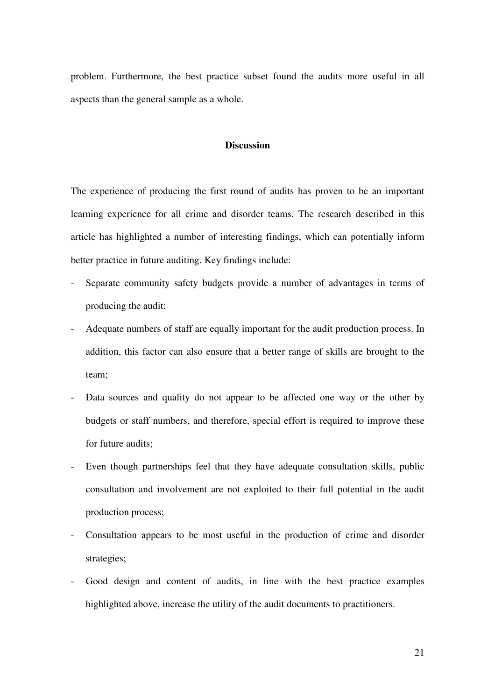problem. Furthermore, the best practice subset found the audits more useful in all aspects than the general sample as a whole.

## **Discussion**

The experience of producing the first round of audits has proven to be an important learning experience for all crime and disorder teams. The research described in this article has highlighted a number of interesting findings, which can potentially inform better practice in future auditing. Key findings include:

- Separate community safety budgets provide a number of advantages in terms of producing the audit;
- Adequate numbers of staff are equally important for the audit production process. In addition, this factor can also ensure that a better range of skills are brought to the team;
- Data sources and quality do not appear to be affected one way or the other by budgets or staff numbers, and therefore, special effort is required to improve these for future audits;
- Even though partnerships feel that they have adequate consultation skills, public consultation and involvement are not exploited to their full potential in the audit production process;
- Consultation appears to be most useful in the production of crime and disorder strategies;
- Good design and content of audits, in line with the best practice examples highlighted above, increase the utility of the audit documents to practitioners.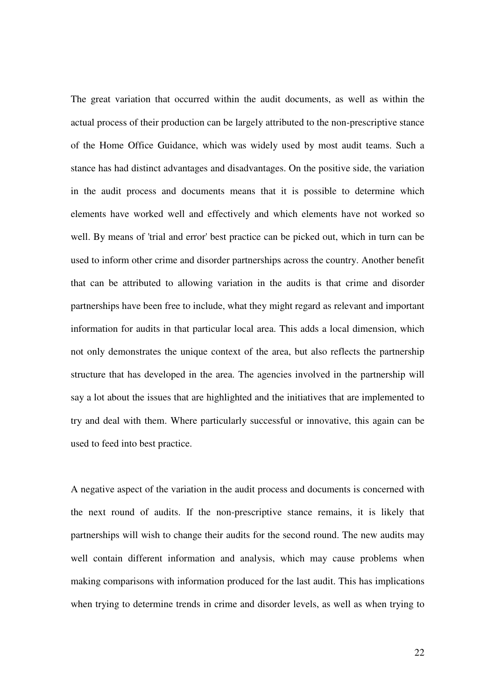The great variation that occurred within the audit documents, as well as within the actual process of their production can be largely attributed to the non-prescriptive stance of the Home Office Guidance, which was widely used by most audit teams. Such a stance has had distinct advantages and disadvantages. On the positive side, the variation in the audit process and documents means that it is possible to determine which elements have worked well and effectively and which elements have not worked so well. By means of 'trial and error' best practice can be picked out, which in turn can be used to inform other crime and disorder partnerships across the country. Another benefit that can be attributed to allowing variation in the audits is that crime and disorder partnerships have been free to include, what they might regard as relevant and important information for audits in that particular local area. This adds a local dimension, which not only demonstrates the unique context of the area, but also reflects the partnership structure that has developed in the area. The agencies involved in the partnership will say a lot about the issues that are highlighted and the initiatives that are implemented to try and deal with them. Where particularly successful or innovative, this again can be used to feed into best practice.

A negative aspect of the variation in the audit process and documents is concerned with the next round of audits. If the non-prescriptive stance remains, it is likely that partnerships will wish to change their audits for the second round. The new audits may well contain different information and analysis, which may cause problems when making comparisons with information produced for the last audit. This has implications when trying to determine trends in crime and disorder levels, as well as when trying to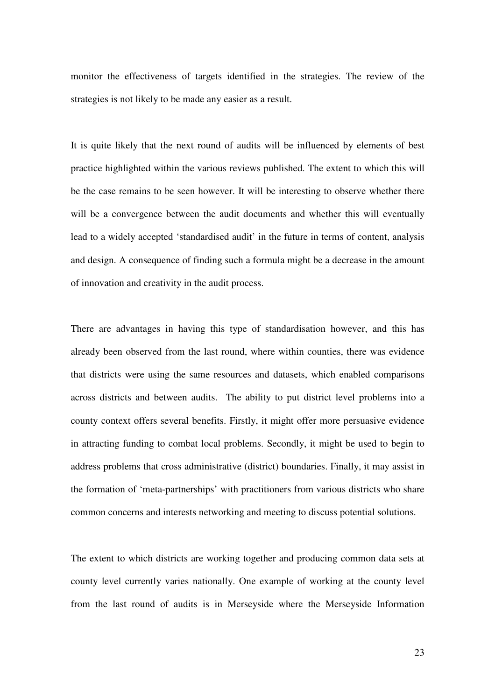monitor the effectiveness of targets identified in the strategies. The review of the strategies is not likely to be made any easier as a result.

It is quite likely that the next round of audits will be influenced by elements of best practice highlighted within the various reviews published. The extent to which this will be the case remains to be seen however. It will be interesting to observe whether there will be a convergence between the audit documents and whether this will eventually lead to a widely accepted 'standardised audit' in the future in terms of content, analysis and design. A consequence of finding such a formula might be a decrease in the amount of innovation and creativity in the audit process.

There are advantages in having this type of standardisation however, and this has already been observed from the last round, where within counties, there was evidence that districts were using the same resources and datasets, which enabled comparisons across districts and between audits. The ability to put district level problems into a county context offers several benefits. Firstly, it might offer more persuasive evidence in attracting funding to combat local problems. Secondly, it might be used to begin to address problems that cross administrative (district) boundaries. Finally, it may assist in the formation of 'meta-partnerships' with practitioners from various districts who share common concerns and interests networking and meeting to discuss potential solutions.

The extent to which districts are working together and producing common data sets at county level currently varies nationally. One example of working at the county level from the last round of audits is in Merseyside where the Merseyside Information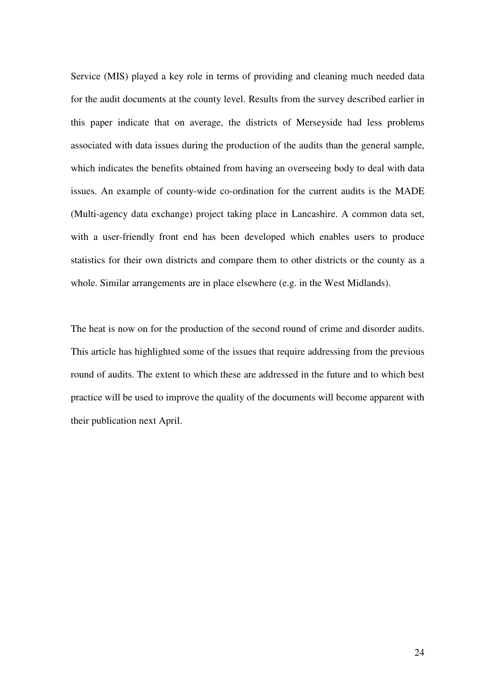Service (MIS) played a key role in terms of providing and cleaning much needed data for the audit documents at the county level. Results from the survey described earlier in this paper indicate that on average, the districts of Merseyside had less problems associated with data issues during the production of the audits than the general sample, which indicates the benefits obtained from having an overseeing body to deal with data issues. An example of county-wide co-ordination for the current audits is the MADE (Multi-agency data exchange) project taking place in Lancashire. A common data set, with a user-friendly front end has been developed which enables users to produce statistics for their own districts and compare them to other districts or the county as a whole. Similar arrangements are in place elsewhere (e.g. in the West Midlands).

The heat is now on for the production of the second round of crime and disorder audits. This article has highlighted some of the issues that require addressing from the previous round of audits. The extent to which these are addressed in the future and to which best practice will be used to improve the quality of the documents will become apparent with their publication next April.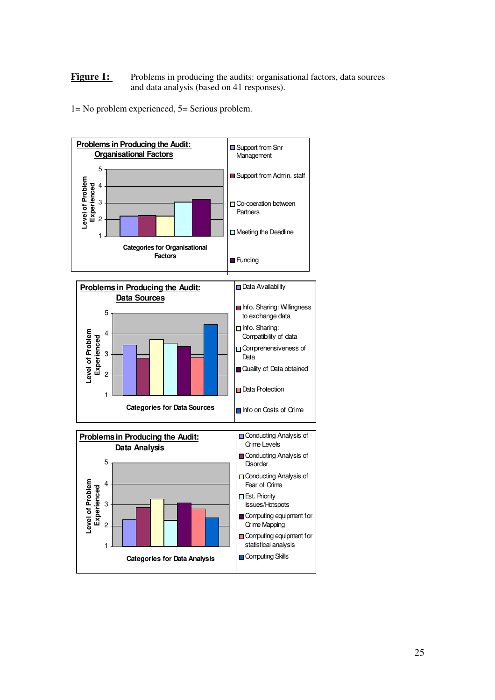#### Figure 1: Problems in producing the audits: organisational factors, data sources and data analysis (based on 41 responses).

1= No problem experienced, 5= Serious problem.



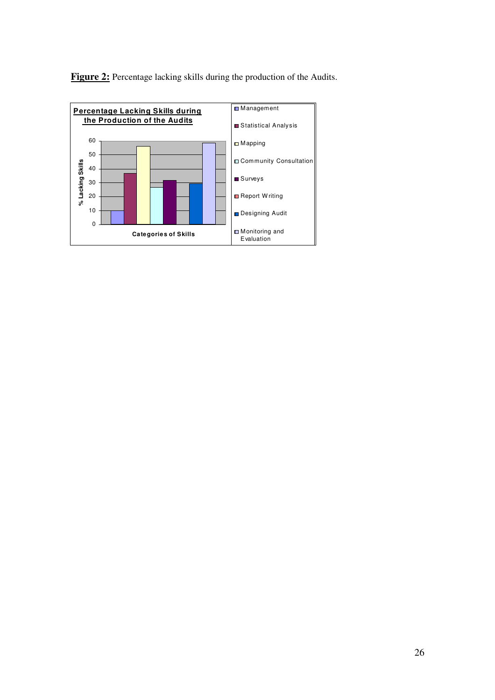

Figure 2: Percentage lacking skills during the production of the Audits.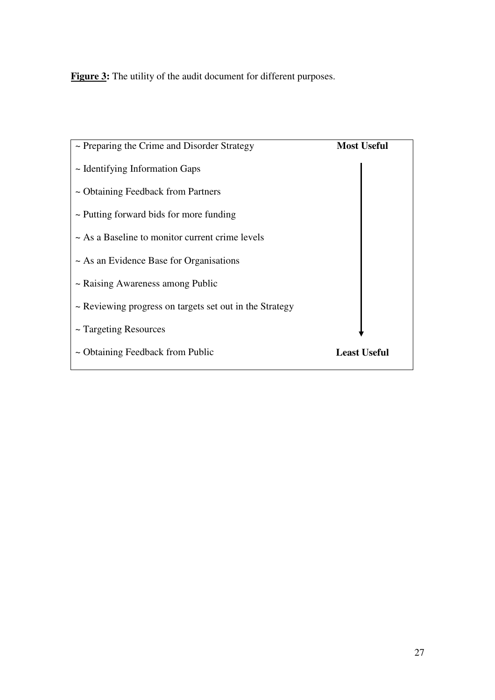Figure 3: The utility of the audit document for different purposes.

| $\sim$ Preparing the Crime and Disorder Strategy        | <b>Most Useful</b>  |
|---------------------------------------------------------|---------------------|
| $\sim$ Identifying Information Gaps                     |                     |
| ~ Obtaining Feedback from Partners                      |                     |
| $\sim$ Putting forward bids for more funding            |                     |
| $\sim$ As a Baseline to monitor current crime levels    |                     |
| $\sim$ As an Evidence Base for Organisations            |                     |
| $\sim$ Raising Awareness among Public                   |                     |
| ~ Reviewing progress on targets set out in the Strategy |                     |
| $\sim$ Targeting Resources                              |                     |
| ~ Obtaining Feedback from Public                        | <b>Least Useful</b> |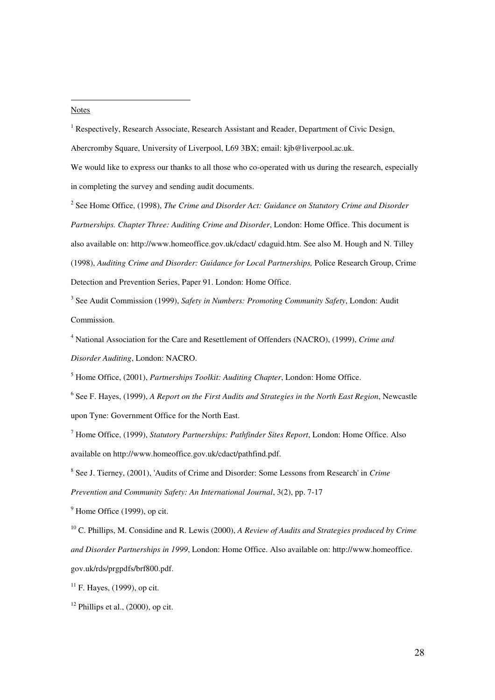#### Notes

 $\overline{a}$ 

<sup>1</sup> Respectively, Research Associate, Research Assistant and Reader, Department of Civic Design, Abercromby Square, University of Liverpool, L69 3BX; email: kjb@liverpool.ac.uk.

We would like to express our thanks to all those who co-operated with us during the research, especially in completing the survey and sending audit documents.

<sup>2</sup> See Home Office, (1998), *The Crime and Disorder Act: Guidance on Statutory Crime and Disorder Partnerships. Chapter Three: Auditing Crime and Disorder*, London: Home Office. This document is also available on: http://www.homeoffice.gov.uk/cdact/ cdaguid.htm. See also M. Hough and N. Tilley (1998), *Auditing Crime and Disorder: Guidance for Local Partnerships,* Police Research Group, Crime Detection and Prevention Series, Paper 91. London: Home Office.

3 See Audit Commission (1999), *Safety in Numbers: Promoting Community Safety*, London: Audit Commission.

4 National Association for the Care and Resettlement of Offenders (NACRO), (1999), *Crime and Disorder Auditing*, London: NACRO.

5 Home Office, (2001), *Partnerships Toolkit: Auditing Chapter*, London: Home Office.

6 See F. Hayes, (1999), *A Report on the First Audits and Strategies in the North East Region*, Newcastle upon Tyne: Government Office for the North East.

7 Home Office, (1999), *Statutory Partnerships: Pathfinder Sites Report*, London: Home Office. Also available on http://www.homeoffice.gov.uk/cdact/pathfind.pdf.

8 See J. Tierney, (2001), 'Audits of Crime and Disorder: Some Lessons from Research' in *Crime Prevention and Community Safety: An International Journal*, 3(2), pp. 7-17

 $<sup>9</sup>$  Home Office (1999), op cit.</sup>

<sup>10</sup> C. Phillips, M. Considine and R. Lewis (2000), *A Review of Audits and Strategies produced by Crime and Disorder Partnerships in 1999*, London: Home Office. Also available on: http://www.homeoffice. gov.uk/rds/prgpdfs/brf800.pdf.

 $11$  F. Hayes, (1999), op cit.

 $12$  Phillips et al., (2000), op cit.